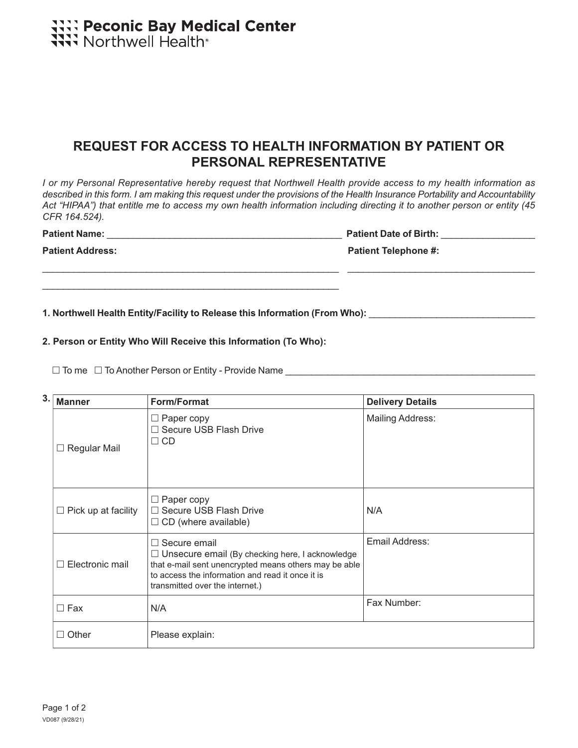# **TIT: Peconic Bay Medical Center**<br> **TIT:** Northwell Health®

## **REQUEST FOR ACCESS TO HEALTH INFORMATION BY PATIENT OR PERSONAL REPRESENTATIVE**

*I or my Personal Representative hereby request that Northwell Health provide access to my health information as*  described in this form. I am making this request under the provisions of the Health Insurance Portability and Accountability *Act "HIPAA") that entitle me to access my own health information including directing it to another person or entity (45 CFR 164.524).* 

\_\_\_\_\_\_\_\_\_\_\_\_\_\_\_\_\_\_\_\_\_\_\_\_\_\_\_\_\_\_\_\_\_\_\_\_\_\_\_\_\_\_\_\_\_\_\_\_\_\_\_\_\_\_\_\_\_ \_\_\_\_\_\_\_\_\_\_\_\_\_\_\_\_\_\_\_\_\_\_\_\_\_\_\_\_\_\_\_\_\_\_\_\_

Patient Name: **Patient Name: Patient Date of Birth: Patient Date of Birth: Patient Date of Birth: Patient Date of Birth: Patient Date of Birth: Patient Date of Birth: Patient Date of Birth: Patient Date of** 

**Patient Address: Patient Telephone #:**

**1. Northwell Health Entity/Facility to Release this Information (From Who):** \_\_\_\_\_\_\_\_\_\_\_\_\_\_\_\_\_\_\_\_\_\_\_\_\_\_\_\_\_\_\_\_

#### **2. Person or Entity Who Will Receive this Information (To Who):**

\_\_\_\_\_\_\_\_\_\_\_\_\_\_\_\_\_\_\_\_\_\_\_\_\_\_\_\_\_\_\_\_\_\_\_\_\_\_\_\_\_\_\_\_\_\_\_\_\_\_\_\_\_\_\_\_\_

 $\Box$  To me  $\Box$  To Another Person or Entity - Provide Name

| 3. | <b>Manner</b>              | Form/Format                                                                                                                                                                                                                   | <b>Delivery Details</b> |  |  |
|----|----------------------------|-------------------------------------------------------------------------------------------------------------------------------------------------------------------------------------------------------------------------------|-------------------------|--|--|
|    | Regular Mail<br>⊔          | $\Box$ Paper copy<br>$\Box$ Secure USB Flash Drive<br>$\Box$ CD                                                                                                                                                               | <b>Mailing Address:</b> |  |  |
|    | $\Box$ Pick up at facility | $\Box$ Paper copy<br>$\Box$ Secure USB Flash Drive<br>$\Box$ CD (where available)                                                                                                                                             | N/A                     |  |  |
|    | Electronic mail<br>П       | $\Box$ Secure email<br>$\Box$ Unsecure email (By checking here, I acknowledge<br>that e-mail sent unencrypted means others may be able<br>to access the information and read it once it is<br>transmitted over the internet.) | Email Address:          |  |  |
|    | $\Box$ Fax                 | N/A                                                                                                                                                                                                                           | Fax Number:             |  |  |
|    | $\Box$ Other               | Please explain:                                                                                                                                                                                                               |                         |  |  |